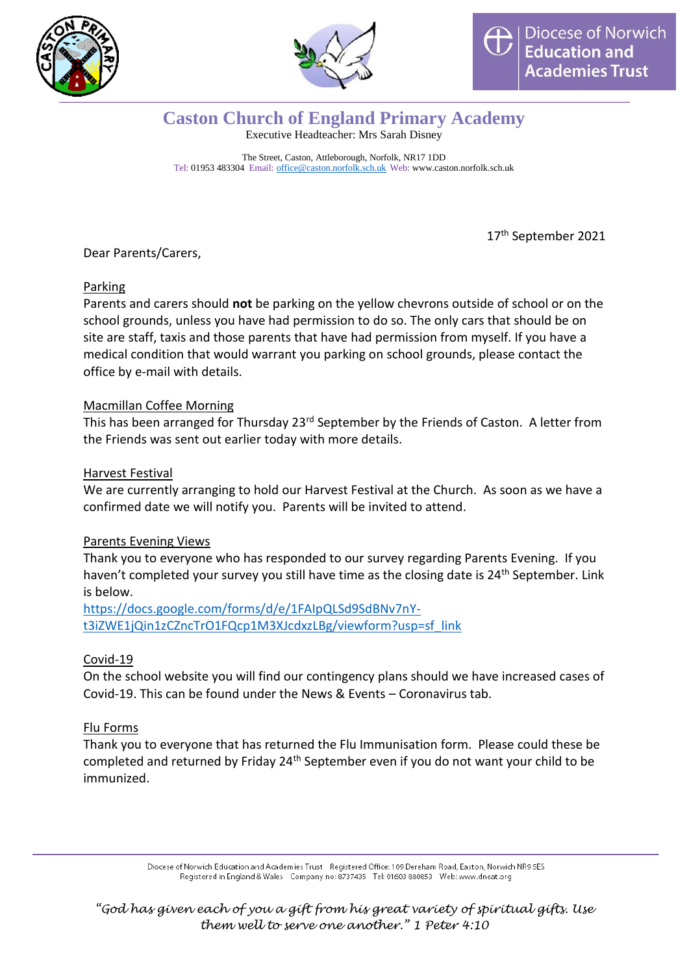



## **Caston Church of England Primary Academy**

Executive Headteacher: Mrs Sarah Disney

The Street, Caston, Attleborough, Norfolk, NR17 1DD Tel: 01953 483304 Email: [office@caston.norfolk.sch.uk](mailto:office@caston.norfolk.sch.uk) Web: www.caston.norfolk.sch.uk

17<sup>th</sup> September 2021

Dear Parents/Carers,

### Parking

Parents and carers should **not** be parking on the yellow chevrons outside of school or on the school grounds, unless you have had permission to do so. The only cars that should be on site are staff, taxis and those parents that have had permission from myself. If you have a medical condition that would warrant you parking on school grounds, please contact the office by e-mail with details.

### Macmillan Coffee Morning

This has been arranged for Thursday 23<sup>rd</sup> September by the Friends of Caston. A letter from the Friends was sent out earlier today with more details.

#### Harvest Festival

We are currently arranging to hold our Harvest Festival at the Church. As soon as we have a confirmed date we will notify you. Parents will be invited to attend.

### Parents Evening Views

Thank you to everyone who has responded to our survey regarding Parents Evening. If you haven't completed your survey you still have time as the closing date is 24<sup>th</sup> September. Link is below.

[https://docs.google.com/forms/d/e/1FAIpQLSd9SdBNv7nY](https://docs.google.com/forms/d/e/1FAIpQLSd9SdBNv7nY-t3iZWE1jQin1zCZncTrO1FQcp1M3XJcdxzLBg/viewform?usp=sf_link)[t3iZWE1jQin1zCZncTrO1FQcp1M3XJcdxzLBg/viewform?usp=sf\\_link](https://docs.google.com/forms/d/e/1FAIpQLSd9SdBNv7nY-t3iZWE1jQin1zCZncTrO1FQcp1M3XJcdxzLBg/viewform?usp=sf_link)

### Covid-19

On the school website you will find our contingency plans should we have increased cases of Covid-19. This can be found under the News & Events – Coronavirus tab.

### Flu Forms

Thank you to everyone that has returned the Flu Immunisation form. Please could these be completed and returned by Friday  $24<sup>th</sup>$  September even if you do not want your child to be immunized.

> Diocese of Norwich Education and Academies Trust Registered Office: 109 Dereham Road, Easton, Norwich NR9 5ES Registered in England & Wales Company no: 8737435 Tel: 01603 880853 Web: www.dneat.org